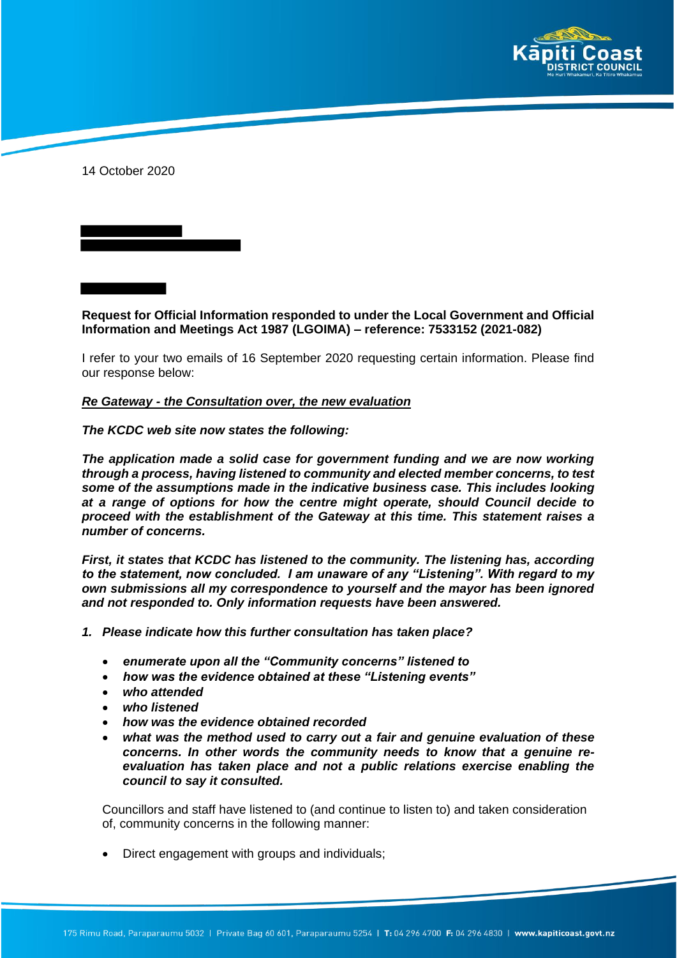

14 October 2020

**Request for Official Information responded to under the Local Government and Official Information and Meetings Act 1987 (LGOIMA) – reference: 7533152 (2021-082)**

I refer to your two emails of 16 September 2020 requesting certain information. Please find our response below:

#### *Re Gateway - the Consultation over, the new evaluation*

*The KCDC web site now states the following:*

*The application made a solid case for government funding and we are now working through a process, having listened to community and elected member concerns, to test some of the assumptions made in the indicative business case. This includes looking at a range of options for how the centre might operate, should Council decide to proceed with the establishment of the Gateway at this time. This statement raises a number of concerns.*

*First, it states that KCDC has listened to the community. The listening has, according to the statement, now concluded. I am unaware of any "Listening". With regard to my own submissions all my correspondence to yourself and the mayor has been ignored and not responded to. Only information requests have been answered.*

- *1. Please indicate how this further consultation has taken place?*
	- *enumerate upon all the "Community concerns" listened to*
	- *how was the evidence obtained at these "Listening events"*
	- *who attended*
	- *who listened*
	- *how was the evidence obtained recorded*
	- *what was the method used to carry out a fair and genuine evaluation of these concerns. In other words the community needs to know that a genuine reevaluation has taken place and not a public relations exercise enabling the council to say it consulted.*

Councillors and staff have listened to (and continue to listen to) and taken consideration of, community concerns in the following manner:

Direct engagement with groups and individuals;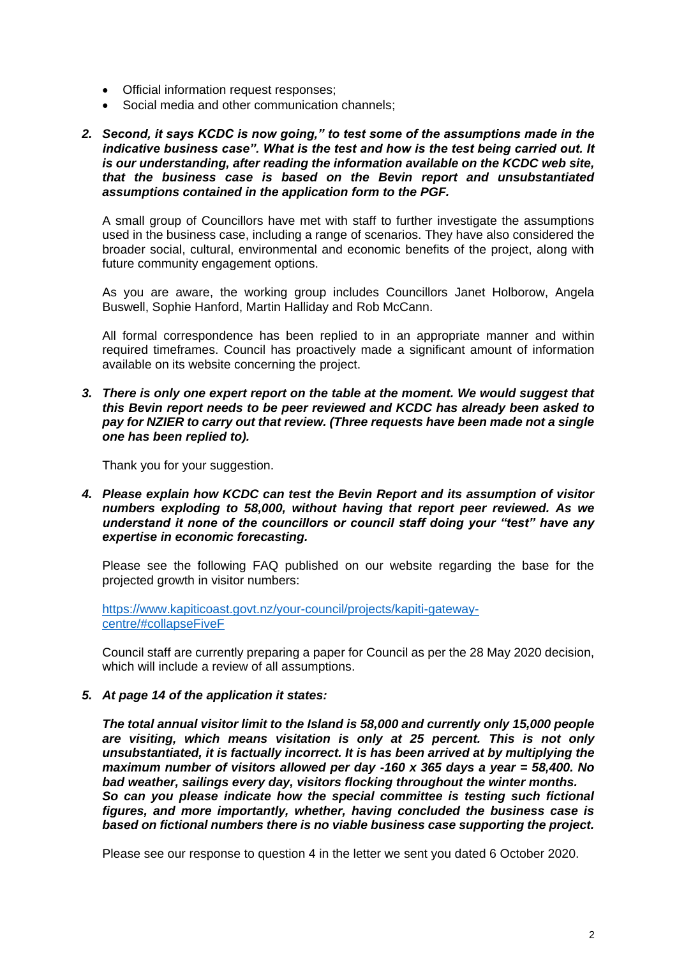- Official information request responses;
- Social media and other communication channels:
- *2. Second, it says KCDC is now going," to test some of the assumptions made in the indicative business case". What is the test and how is the test being carried out. It is our understanding, after reading the information available on the KCDC web site, that the business case is based on the Bevin report and unsubstantiated assumptions contained in the application form to the PGF.*

A small group of Councillors have met with staff to further investigate the assumptions used in the business case, including a range of scenarios. They have also considered the broader social, cultural, environmental and economic benefits of the project, along with future community engagement options.

As you are aware, the working group includes Councillors Janet Holborow, Angela Buswell, Sophie Hanford, Martin Halliday and Rob McCann.

All formal correspondence has been replied to in an appropriate manner and within required timeframes. Council has proactively made a significant amount of information available on its website concerning the project.

*3. There is only one expert report on the table at the moment. We would suggest that this Bevin report needs to be peer reviewed and KCDC has already been asked to pay for NZIER to carry out that review. (Three requests have been made not a single one has been replied to).* 

Thank you for your suggestion.

*4. Please explain how KCDC can test the Bevin Report and its assumption of visitor numbers exploding to 58,000, without having that report peer reviewed. As we understand it none of the councillors or council staff doing your "test" have any expertise in economic forecasting.*

Please see the following FAQ published on our website regarding the base for the projected growth in visitor numbers:

https://www.kapiticoast.govt.nz/your-council/projects/kapiti-gatewaycentre/#collapseFiveF

Council staff are currently preparing a paper for Council as per the 28 May 2020 decision, which will include a review of all assumptions.

#### *5. At page 14 of the application it states:*

*The total annual visitor limit to the Island is 58,000 and currently only 15,000 people are visiting, which means visitation is only at 25 percent. This is not only unsubstantiated, it is factually incorrect. It is has been arrived at by multiplying the maximum number of visitors allowed per day -160 x 365 days a year = 58,400. No bad weather, sailings every day, visitors flocking throughout the winter months. So can you please indicate how the special committee is testing such fictional figures, and more importantly, whether, having concluded the business case is based on fictional numbers there is no viable business case supporting the project.*

Please see our response to question 4 in the letter we sent you dated 6 October 2020.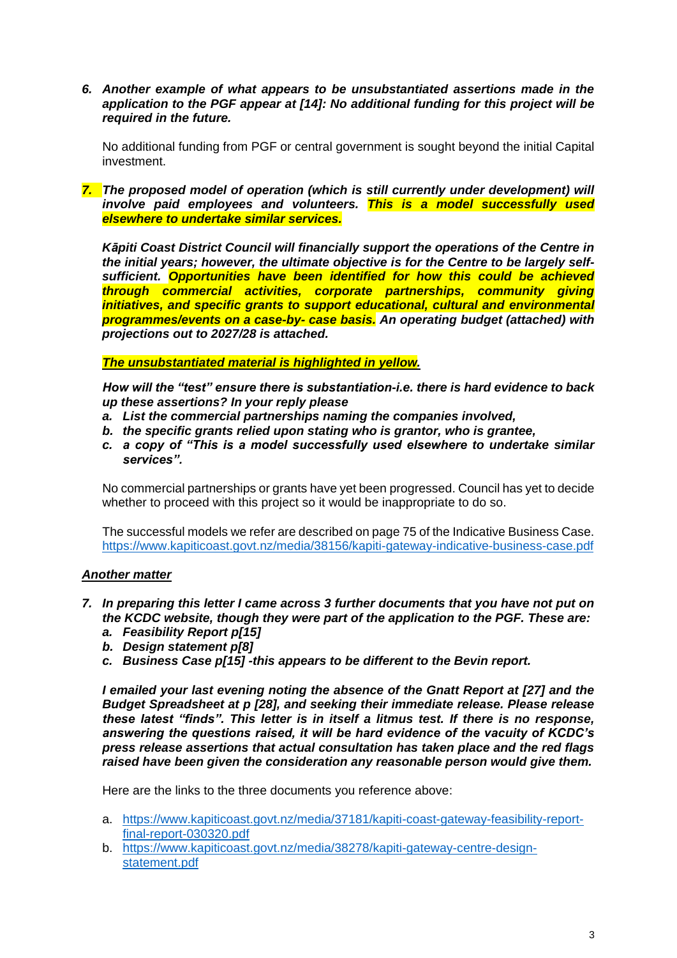*6. Another example of what appears to be unsubstantiated assertions made in the application to the PGF appear at [14]: No additional funding for this project will be required in the future.* 

No additional funding from PGF or central government is sought beyond the initial Capital investment.

*7. The proposed model of operation (which is still currently under development) will involve paid employees and volunteers. This is a model successfully used elsewhere to undertake similar services.*

*Kāpiti Coast District Council will financially support the operations of the Centre in the initial years; however, the ultimate objective is for the Centre to be largely selfsufficient. Opportunities have been identified for how this could be achieved through commercial activities, corporate partnerships, community giving initiatives, and specific grants to support educational, cultural and environmental programmes/events on a case-by- case basis. An operating budget (attached) with projections out to 2027/28 is attached.* 

*The unsubstantiated material is highlighted in yellow.* 

*How will the "test" ensure there is substantiation-i.e. there is hard evidence to back up these assertions? In your reply please* 

- *a. List the commercial partnerships naming the companies involved,*
- *b. the specific grants relied upon stating who is grantor, who is grantee,*
- *c. a copy of "This is a model successfully used elsewhere to undertake similar services".*

No commercial partnerships or grants have yet been progressed. Council has yet to decide whether to proceed with this project so it would be inappropriate to do so.

The successful models we refer are described on page 75 of the Indicative Business Case. https://www.kapiticoast.govt.nz/media/38156/kapiti-gateway-indicative-business-case.pdf

## *Another matter*

- *7. In preparing this letter I came across 3 further documents that you have not put on the KCDC website, though they were part of the application to the PGF. These are:*
	- *a. Feasibility Report p[15]*
	- *b. Design statement p[8]*
	- *c. Business Case p[15] -this appears to be different to the Bevin report.*

*I emailed your last evening noting the absence of the Gnatt Report at [27] and the Budget Spreadsheet at p [28], and seeking their immediate release. Please release these latest "finds". This letter is in itself a litmus test. If there is no response, answering the questions raised, it will be hard evidence of the vacuity of KCDC's press release assertions that actual consultation has taken place and the red flags raised have been given the consideration any reasonable person would give them.*

Here are the links to the three documents you reference above:

- a. https://www.kapiticoast.govt.nz/media/37181/kapiti-coast-gateway-feasibility-reportfinal-report-030320.pdf
- b. https://www.kapiticoast.govt.nz/media/38278/kapiti-gateway-centre-designstatement.pdf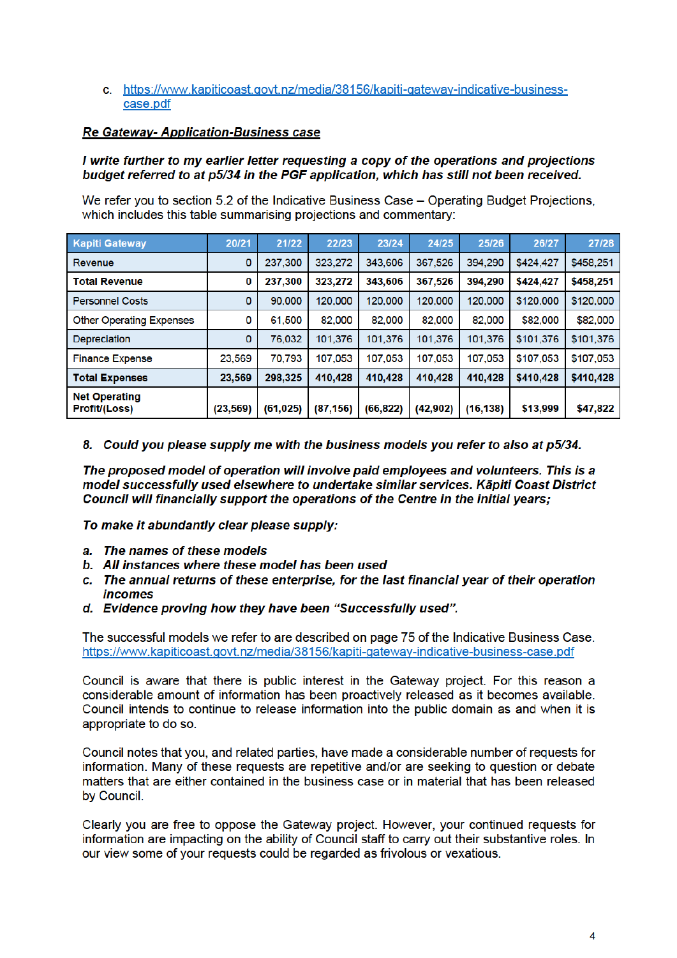### c. https://www.kapiticoast.govt.nz/media/38156/kapiti-gateway-indicative-businesscase.pdf

# **Re Gateway- Application-Business case**

### I write further to my earlier letter requesting a copy of the operations and projections budget referred to at p5/34 in the PGF application, which has still not been received.

We refer you to section 5.2 of the Indicative Business Case – Operating Budget Projections. which includes this table summarising projections and commentary:

| <b>Kapiti Gateway</b>                 | 20/21     | 21/22     | 22/23     | 23/24     | 24/25     | 25/26     | 26/27     | 27/28     |
|---------------------------------------|-----------|-----------|-----------|-----------|-----------|-----------|-----------|-----------|
| Revenue                               | 0         | 237,300   | 323,272   | 343,606   | 367,526   | 394.290   | \$424,427 | \$458,251 |
| <b>Total Revenue</b>                  | 0         | 237,300   | 323,272   | 343,606   | 367,526   | 394,290   | \$424,427 | \$458,251 |
| <b>Personnel Costs</b>                | 0         | 90,000    | 120,000   | 120,000   | 120,000   | 120,000   | \$120,000 | \$120,000 |
| <b>Other Operating Expenses</b>       | 0         | 61,500    | 82.000    | 82,000    | 82.000    | 82.000    | \$82,000  | \$82,000  |
| <b>Depreciation</b>                   | 0         | 76,032    | 101.376   | 101.376   | 101.376   | 101.376   | \$101,376 | \$101,376 |
| <b>Finance Expense</b>                | 23,569    | 70,793    | 107.053   | 107.053   | 107,053   | 107,053   | \$107,053 | \$107,053 |
| <b>Total Expenses</b>                 | 23,569    | 298,325   | 410,428   | 410,428   | 410,428   | 410.428   | \$410,428 | \$410,428 |
| <b>Net Operating</b><br>Profit/(Loss) | (23, 569) | (61, 025) | (87, 156) | (66, 822) | (42, 902) | (16, 138) | \$13,999  | \$47,822  |

8. Could you please supply me with the business models you refer to also at p5/34.

The proposed model of operation will involve paid employees and volunteers. This is a model successfully used elsewhere to undertake similar services. Kāpiti Coast District Council will financially support the operations of the Centre in the initial years:

To make it abundantly clear please supply:

- a. The names of these models
- b. All instances where these model has been used
- c. The annual returns of these enterprise, for the last financial year of their operation *incomes*
- d. Evidence proving how they have been "Successfully used".

The successful models we refer to are described on page 75 of the Indicative Business Case. https://www.kapiticoast.govt.nz/media/38156/kapiti-gateway-indicative-business-case.pdf

Council is aware that there is public interest in the Gateway project. For this reason a considerable amount of information has been proactively released as it becomes available. Council intends to continue to release information into the public domain as and when it is appropriate to do so.

Council notes that you, and related parties, have made a considerable number of requests for information. Many of these requests are repetitive and/or are seeking to question or debate matters that are either contained in the business case or in material that has been released by Council.

Clearly you are free to oppose the Gateway project. However, your continued requests for information are impacting on the ability of Council staff to carry out their substantive roles. In our view some of your requests could be regarded as frivolous or vexatious.